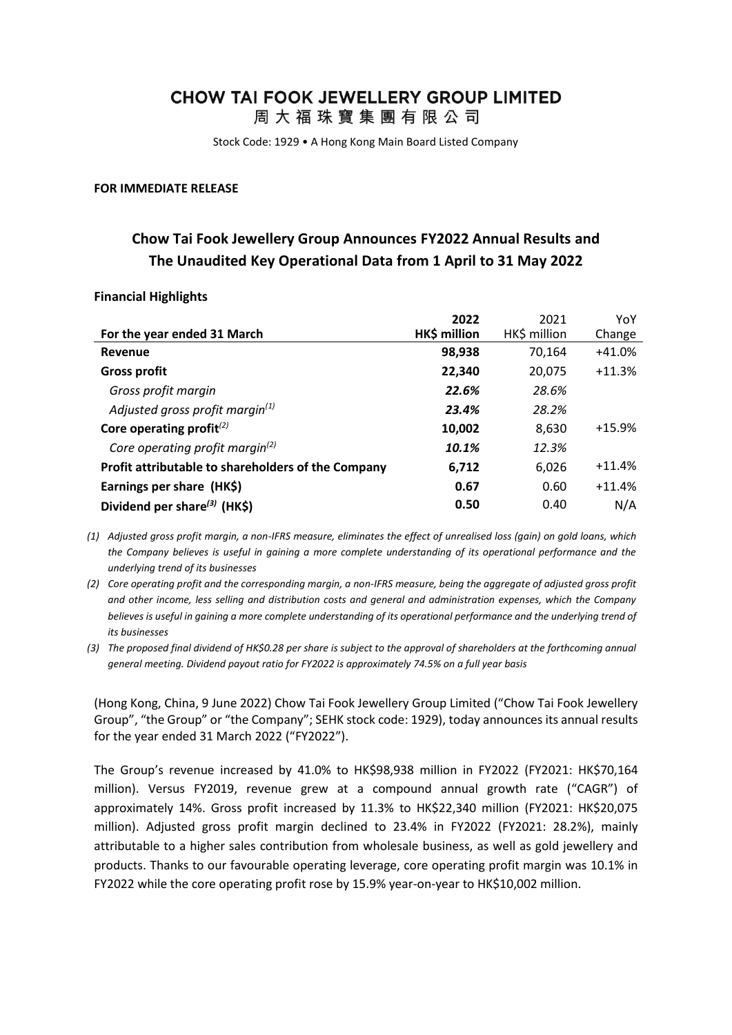# **CHOW TAI FOOK JEWELLERY GROUP LIMITED**

周大福珠寶集團有限公司

Stock Code: 1929 • A Hong Kong Main Board Listed Company

#### **FOR IMMEDIATE RELEASE**

# **Chow Tai Fook Jewellery Group Announces FY2022 Annual Results and The Unaudited Key Operational Data from 1 April to 31 May 2022**

### **Financial Highlights**

|                                                    | 2022         | 2021         | YoY      |
|----------------------------------------------------|--------------|--------------|----------|
| For the year ended 31 March                        | HK\$ million | HK\$ million | Change   |
| Revenue                                            | 98,938       | 70.164       | $+41.0%$ |
| <b>Gross profit</b>                                | 22,340       | 20,075       | $+11.3%$ |
| Gross profit margin                                | 22.6%        | 28.6%        |          |
| Adjusted gross profit margin(1)                    | 23.4%        | 28.2%        |          |
| Core operating profit $^{(2)}$                     | 10,002       | 8,630        | $+15.9%$ |
| Core operating profit margin <sup>(2)</sup>        | 10.1%        | 12.3%        |          |
| Profit attributable to shareholders of the Company | 6,712        | 6,026        | $+11.4%$ |
| Earnings per share (HK\$)                          | 0.67         | 0.60         | $+11.4%$ |
| Dividend per share <sup>(3)</sup> (HK\$)           | 0.50         | 0.40         | N/A      |

- *(1) Adjusted gross profit margin, a non-IFRS measure, eliminates the effect of unrealised loss (gain) on gold loans, which the Company believes is useful in gaining a more complete understanding of its operational performance and the underlying trend of its businesses*
- *(2) Core operating profit and the corresponding margin, a non-IFRS measure, being the aggregate of adjusted gross profit and other income, less selling and distribution costs and general and administration expenses, which the Company believes is useful in gaining a more complete understanding of its operational performance and the underlying trend of its businesses*
- *(3) The proposed final dividend of HK\$0.28 per share is subject to the approval of shareholders at the forthcoming annual general meeting. Dividend payout ratio for FY2022 is approximately 74.5% on a full year basis*

(Hong Kong, China, 9 June 2022) Chow Tai Fook Jewellery Group Limited ("Chow Tai Fook Jewellery Group", "the Group" or "the Company"; SEHK stock code: 1929), today announces its annual results for the year ended 31 March 2022 ("FY2022").

The Group's revenue increased by 41.0% to HK\$98,938 million in FY2022 (FY2021: HK\$70,164 million). Versus FY2019, revenue grew at a compound annual growth rate ("CAGR") of approximately 14%. Gross profit increased by 11.3% to HK\$22,340 million (FY2021: HK\$20,075 million). Adjusted gross profit margin declined to 23.4% in FY2022 (FY2021: 28.2%), mainly attributable to a higher sales contribution from wholesale business, as well as gold jewellery and products. Thanks to our favourable operating leverage, core operating profit margin was 10.1% in FY2022 while the core operating profit rose by 15.9% year-on-year to HK\$10,002 million.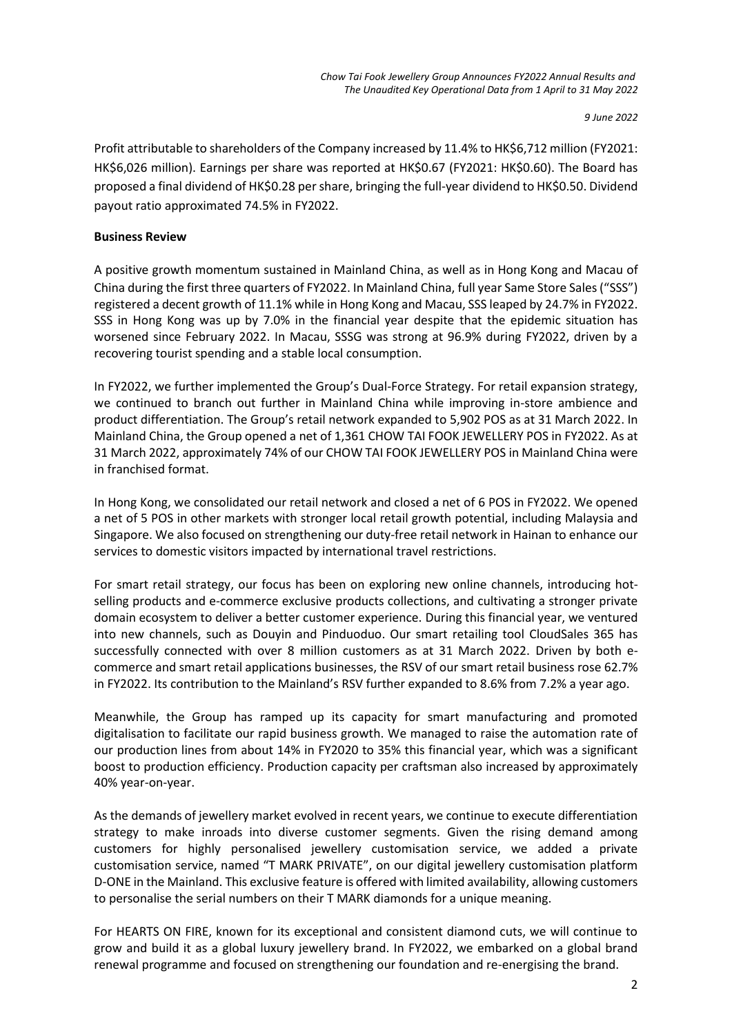*9 June 2022*

Profit attributable to shareholders of the Company increased by 11.4% to HK\$6,712 million (FY2021: HK\$6,026 million). Earnings per share was reported at HK\$0.67 (FY2021: HK\$0.60). The Board has proposed a final dividend of HK\$0.28 per share, bringing the full-year dividend to HK\$0.50. Dividend payout ratio approximated 74.5% in FY2022.

# **Business Review**

A positive growth momentum sustained in Mainland China, as well as in Hong Kong and Macau of China during the first three quarters of FY2022. In Mainland China, full year Same Store Sales ("SSS") registered a decent growth of 11.1% while in Hong Kong and Macau, SSS leaped by 24.7% in FY2022. SSS in Hong Kong was up by 7.0% in the financial year despite that the epidemic situation has worsened since February 2022. In Macau, SSSG was strong at 96.9% during FY2022, driven by a recovering tourist spending and a stable local consumption.

In FY2022, we further implemented the Group's Dual-Force Strategy. For retail expansion strategy, we continued to branch out further in Mainland China while improving in-store ambience and product differentiation. The Group's retail network expanded to 5,902 POS as at 31 March 2022. In Mainland China, the Group opened a net of 1,361 CHOW TAI FOOK JEWELLERY POS in FY2022. As at 31 March 2022, approximately 74% of our CHOW TAI FOOK JEWELLERY POS in Mainland China were in franchised format.

In Hong Kong, we consolidated our retail network and closed a net of 6 POS in FY2022. We opened a net of 5 POS in other markets with stronger local retail growth potential, including Malaysia and Singapore. We also focused on strengthening our duty-free retail network in Hainan to enhance our services to domestic visitors impacted by international travel restrictions.

For smart retail strategy, our focus has been on exploring new online channels, introducing hotselling products and e-commerce exclusive products collections, and cultivating a stronger private domain ecosystem to deliver a better customer experience. During this financial year, we ventured into new channels, such as Douyin and Pinduoduo. Our smart retailing tool CloudSales 365 has successfully connected with over 8 million customers as at 31 March 2022. Driven by both ecommerce and smart retail applications businesses, the RSV of our smart retail business rose 62.7% in FY2022. Its contribution to the Mainland's RSV further expanded to 8.6% from 7.2% a year ago.

Meanwhile, the Group has ramped up its capacity for smart manufacturing and promoted digitalisation to facilitate our rapid business growth. We managed to raise the automation rate of our production lines from about 14% in FY2020 to 35% this financial year, which was a significant boost to production efficiency. Production capacity per craftsman also increased by approximately 40% year-on-year.

As the demands of jewellery market evolved in recent years, we continue to execute differentiation strategy to make inroads into diverse customer segments. Given the rising demand among customers for highly personalised jewellery customisation service, we added a private customisation service, named "T MARK PRIVATE", on our digital jewellery customisation platform D-ONE in the Mainland. This exclusive feature is offered with limited availability, allowing customers to personalise the serial numbers on their T MARK diamonds for a unique meaning.

For HEARTS ON FIRE, known for its exceptional and consistent diamond cuts, we will continue to grow and build it as a global luxury jewellery brand. In FY2022, we embarked on a global brand renewal programme and focused on strengthening our foundation and re-energising the brand.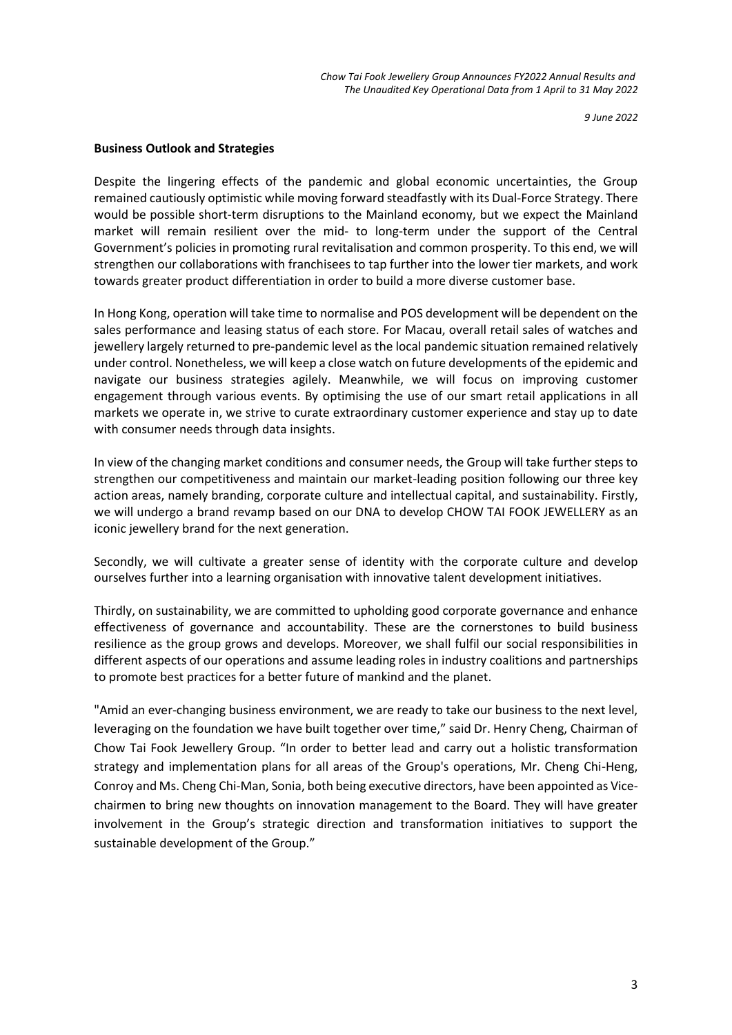*Chow Tai Fook Jewellery Group Announces FY2022 Annual Results and The Unaudited Key Operational Data from 1 April to 31 May 2022*

*9 June 2022*

#### **Business Outlook and Strategies**

Despite the lingering effects of the pandemic and global economic uncertainties, the Group remained cautiously optimistic while moving forward steadfastly with its Dual-Force Strategy. There would be possible short-term disruptions to the Mainland economy, but we expect the Mainland market will remain resilient over the mid- to long-term under the support of the Central Government's policies in promoting rural revitalisation and common prosperity. To this end, we will strengthen our collaborations with franchisees to tap further into the lower tier markets, and work towards greater product differentiation in order to build a more diverse customer base.

In Hong Kong, operation will take time to normalise and POS development will be dependent on the sales performance and leasing status of each store. For Macau, overall retail sales of watches and jewellery largely returned to pre-pandemic level as the local pandemic situation remained relatively under control. Nonetheless, we will keep a close watch on future developments of the epidemic and navigate our business strategies agilely. Meanwhile, we will focus on improving customer engagement through various events. By optimising the use of our smart retail applications in all markets we operate in, we strive to curate extraordinary customer experience and stay up to date with consumer needs through data insights.

In view of the changing market conditions and consumer needs, the Group will take further steps to strengthen our competitiveness and maintain our market-leading position following our three key action areas, namely branding, corporate culture and intellectual capital, and sustainability. Firstly, we will undergo a brand revamp based on our DNA to develop CHOW TAI FOOK JEWELLERY as an iconic jewellery brand for the next generation.

Secondly, we will cultivate a greater sense of identity with the corporate culture and develop ourselves further into a learning organisation with innovative talent development initiatives.

Thirdly, on sustainability, we are committed to upholding good corporate governance and enhance effectiveness of governance and accountability. These are the cornerstones to build business resilience as the group grows and develops. Moreover, we shall fulfil our social responsibilities in different aspects of our operations and assume leading roles in industry coalitions and partnerships to promote best practices for a better future of mankind and the planet.

"Amid an ever-changing business environment, we are ready to take our business to the next level, leveraging on the foundation we have built together over time," said Dr. Henry Cheng, Chairman of Chow Tai Fook Jewellery Group. "In order to better lead and carry out a holistic transformation strategy and implementation plans for all areas of the Group's operations, Mr. Cheng Chi-Heng, Conroy and Ms. Cheng Chi-Man, Sonia, both being executive directors, have been appointed as Vicechairmen to bring new thoughts on innovation management to the Board. They will have greater involvement in the Group's strategic direction and transformation initiatives to support the sustainable development of the Group."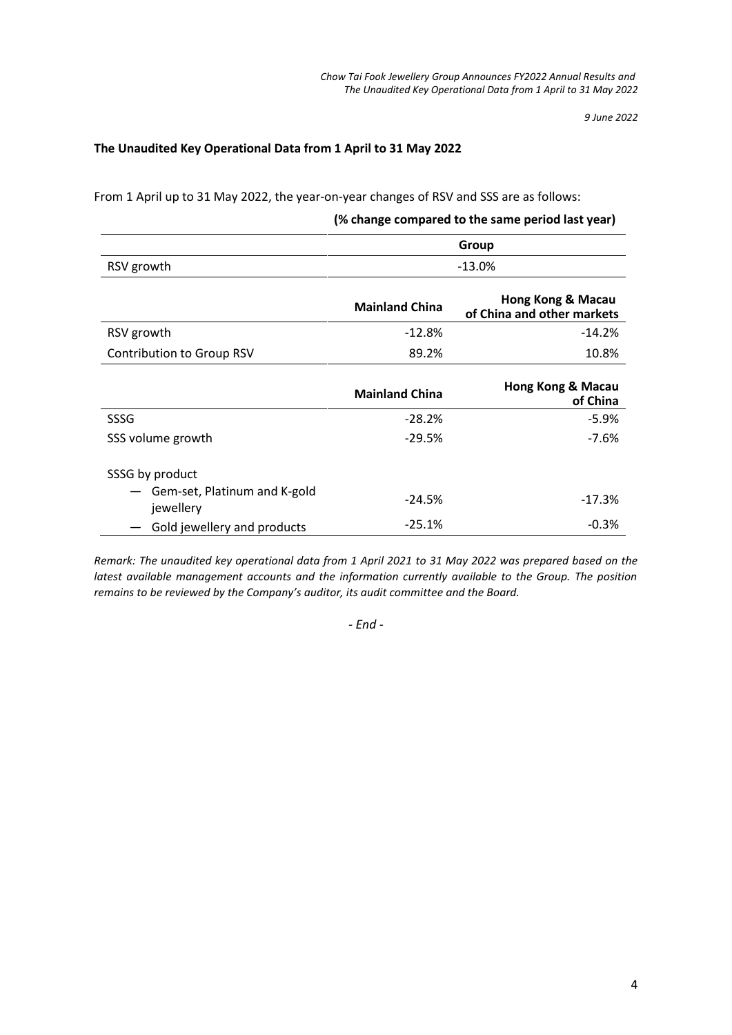*9 June 2022*

# **The Unaudited Key Operational Data from 1 April to 31 May 2022**

From 1 April up to 31 May 2022, the year-on-year changes of RSV and SSS are as follows:

# **(% change compared to the same period last year)**

|                                           | Group                 |                                                 |  |
|-------------------------------------------|-----------------------|-------------------------------------------------|--|
| RSV growth                                | $-13.0%$              |                                                 |  |
|                                           | <b>Mainland China</b> | Hong Kong & Macau<br>of China and other markets |  |
| RSV growth                                | $-12.8%$              | $-14.2%$                                        |  |
| <b>Contribution to Group RSV</b>          | 89.2%                 | 10.8%                                           |  |
|                                           | <b>Mainland China</b> | Hong Kong & Macau<br>of China                   |  |
| SSSG                                      | $-28.2%$              | $-5.9%$                                         |  |
| SSS volume growth                         | $-29.5%$              | $-7.6%$                                         |  |
| SSSG by product                           |                       |                                                 |  |
| Gem-set, Platinum and K-gold<br>jewellery | $-24.5%$              | $-17.3%$                                        |  |
| Gold jewellery and products               | $-25.1%$              | $-0.3%$                                         |  |

*Remark: The unaudited key operational data from 1 April 2021 to 31 May 2022 was prepared based on the latest available management accounts and the information currently available to the Group. The position remains to be reviewed by the Company's auditor, its audit committee and the Board.*

*- End -*